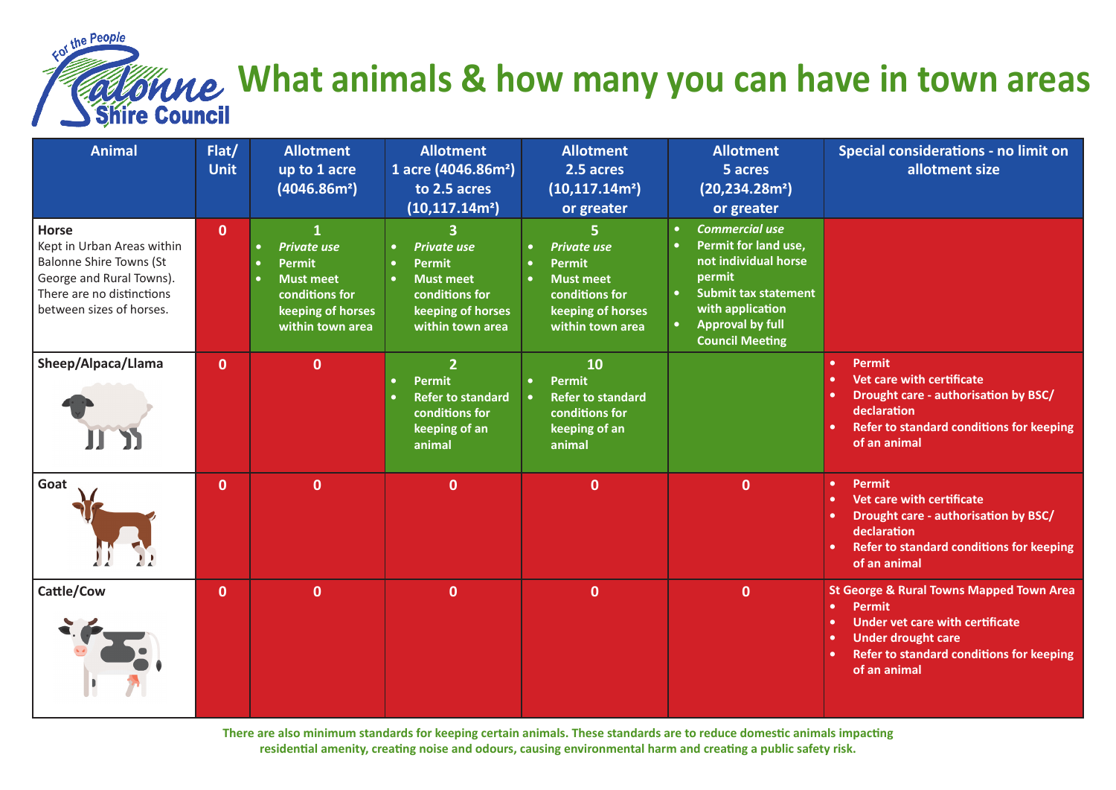

## **What animals & how many you can have in town areas** Shire Council

| <b>Animal</b>                                                                                                                                                     | Flat/<br><b>Unit</b> | <b>Allotment</b><br>up to 1 acre<br>(4046.86m <sup>2</sup> )                                                                                                   | <b>Allotment</b><br>1 acre (4046.86m <sup>2</sup> )<br>to 2.5 acres<br>(10, 117.14m <sup>2</sup> )          | <b>Allotment</b><br>2.5 acres<br>(10, 117.14m <sup>2</sup> )<br>or greater                                                                                | <b>Allotment</b><br>5 acres<br>(20, 234.28m <sup>2</sup> )<br>or greater                                                                                                                | Special considerations - no limit on<br>allotment size                                                                                                                                                                              |
|-------------------------------------------------------------------------------------------------------------------------------------------------------------------|----------------------|----------------------------------------------------------------------------------------------------------------------------------------------------------------|-------------------------------------------------------------------------------------------------------------|-----------------------------------------------------------------------------------------------------------------------------------------------------------|-----------------------------------------------------------------------------------------------------------------------------------------------------------------------------------------|-------------------------------------------------------------------------------------------------------------------------------------------------------------------------------------------------------------------------------------|
| <b>Horse</b><br>Kept in Urban Areas within<br><b>Balonne Shire Towns (St</b><br>George and Rural Towns).<br>There are no distinctions<br>between sizes of horses. | $\mathbf 0$          | 1<br><b>Private use</b><br>$\bullet$<br><b>Permit</b><br>$\bullet$<br><b>Must meet</b><br>$\bullet$<br>conditions for<br>keeping of horses<br>within town area | <b>Private use</b><br>Permit<br><b>Must meet</b><br>conditions for<br>keeping of horses<br>within town area | <b>Private use</b><br>$\bullet$<br><b>Permit</b><br>$\bullet$<br><b>Must meet</b><br>$\bullet$<br>conditions for<br>keeping of horses<br>within town area | <b>Commercial use</b><br>Permit for land use,<br>not individual horse<br>permit<br><b>Submit tax statement</b><br>with application<br><b>Approval by full</b><br><b>Council Meeting</b> |                                                                                                                                                                                                                                     |
| Sheep/Alpaca/Llama                                                                                                                                                | $\mathbf{0}$         | $\mathbf{0}$                                                                                                                                                   | $\overline{2}$<br><b>Permit</b><br><b>Refer to standard</b><br>conditions for<br>keeping of an<br>animal    | 10<br><b>Permit</b><br>$\bullet$<br><b>Refer to standard</b><br>$\bullet$<br>conditions for<br>keeping of an<br>animal                                    |                                                                                                                                                                                         | <b>Permit</b><br>$\bullet$<br>Vet care with certificate<br>$\bullet$<br><b>Drought care - authorisation by BSC/</b><br>٠<br>declaration<br>Refer to standard conditions for keeping<br>of an animal                                 |
| Goat                                                                                                                                                              | $\mathbf{0}$         | $\mathbf{0}$                                                                                                                                                   | $\mathbf{0}$                                                                                                | $\mathbf{0}$                                                                                                                                              | $\mathbf 0$                                                                                                                                                                             | <b>Permit</b><br>$\bullet$<br>Vet care with certificate<br>$\bullet$<br>Drought care - authorisation by BSC/<br>٠<br>declaration<br><b>Refer to standard conditions for keeping</b><br>of an animal                                 |
| Cattle/Cow                                                                                                                                                        | $\mathbf{0}$         | $\mathbf{0}$                                                                                                                                                   | $\mathbf{0}$                                                                                                | $\mathbf{0}$                                                                                                                                              | $\mathbf 0$                                                                                                                                                                             | <b>St George &amp; Rural Towns Mapped Town Area</b><br><b>Permit</b><br>$\bullet$<br><b>Under vet care with certificate</b><br>٠<br><b>Under drought care</b><br>٠<br>Refer to standard conditions for keeping<br>×<br>of an animal |

**There are also minimum standards for keeping certain animals. These standards are to reduce domestic animals impacting residential amenity, creating noise and odours, causing environmental harm and creating a public safety risk.**